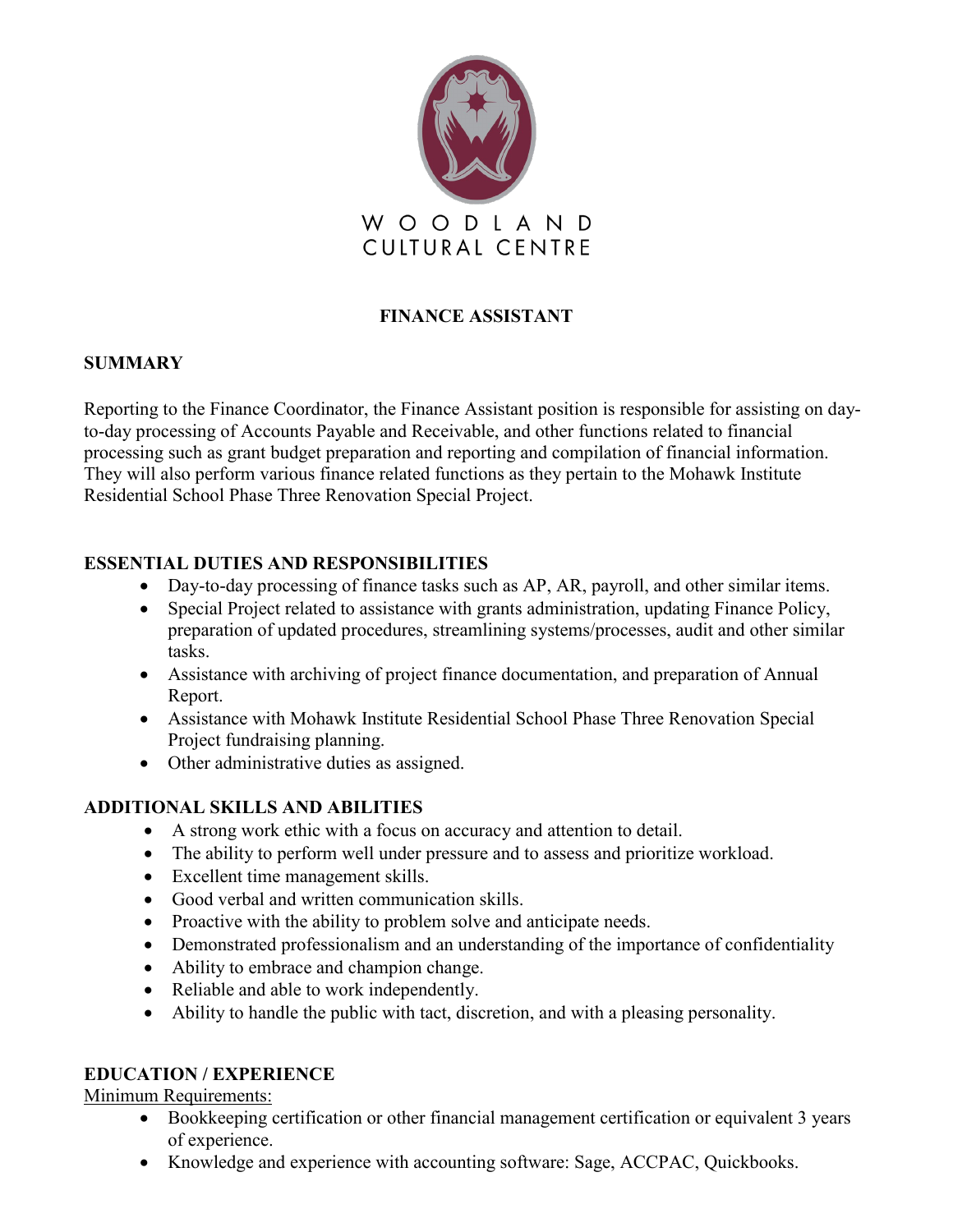

# **FINANCE ASSISTANT**

### **SUMMARY**

Reporting to the Finance Coordinator, the Finance Assistant position is responsible for assisting on dayto-day processing of Accounts Payable and Receivable, and other functions related to financial processing such as grant budget preparation and reporting and compilation of financial information. They will also perform various finance related functions as they pertain to the Mohawk Institute Residential School Phase Three Renovation Special Project.

## **ESSENTIAL DUTIES AND RESPONSIBILITIES**

- Day-to-day processing of finance tasks such as AP, AR, payroll, and other similar items.
- Special Project related to assistance with grants administration, updating Finance Policy, preparation of updated procedures, streamlining systems/processes, audit and other similar tasks.
- Assistance with archiving of project finance documentation, and preparation of Annual Report.
- Assistance with Mohawk Institute Residential School Phase Three Renovation Special Project fundraising planning.
- Other administrative duties as assigned.

## **ADDITIONAL SKILLS AND ABILITIES**

- A strong work ethic with a focus on accuracy and attention to detail.
- The ability to perform well under pressure and to assess and prioritize workload.
- Excellent time management skills.
- Good verbal and written communication skills.
- Proactive with the ability to problem solve and anticipate needs.
- Demonstrated professionalism and an understanding of the importance of confidentiality
- Ability to embrace and champion change.
- Reliable and able to work independently.
- Ability to handle the public with tact, discretion, and with a pleasing personality.

### **EDUCATION / EXPERIENCE**

Minimum Requirements:

- Bookkeeping certification or other financial management certification or equivalent 3 years of experience.
- Knowledge and experience with accounting software: Sage, ACCPAC, Quickbooks.